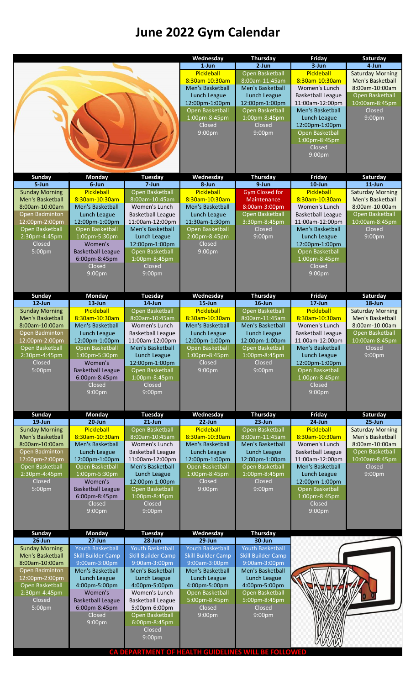# **June 2022 Gym Calendar**

|                                           |                                                      |                                                      | Wednesday                                            | Thursday                                             | Friday                                    | Saturday                                    |
|-------------------------------------------|------------------------------------------------------|------------------------------------------------------|------------------------------------------------------|------------------------------------------------------|-------------------------------------------|---------------------------------------------|
|                                           |                                                      |                                                      | $1$ -Jun                                             | $2$ -Jun                                             | $3 - Jun$                                 | 4-Jun                                       |
|                                           |                                                      |                                                      | Pickleball<br>8:30am-10:30am                         | Open Basketball<br>8:00am-11:45am                    | Pickleball<br>8:30am-10:30am              | <b>Saturday Morning</b><br>Men's Basketball |
|                                           |                                                      |                                                      | Men's Basketball                                     | Men's Basketball                                     | Women's Lunch                             | 8:00am-10:00am                              |
|                                           |                                                      |                                                      | Lunch League                                         | Lunch League                                         | <b>Basketball League</b>                  | Open Basketball                             |
|                                           |                                                      |                                                      | 12:00pm-1:00pm                                       | 12:00pm-1:00pm                                       | 11:00am-12:00pm                           | 10:00am-8:45pm                              |
|                                           |                                                      |                                                      | Open Basketball                                      | Open Basketball                                      | <b>Men's Basketball</b>                   | Closed                                      |
|                                           |                                                      |                                                      | 1:00pm-8:45pm                                        | 1:00pm-8:45pm                                        | Lunch League                              | 9:00pm                                      |
|                                           |                                                      |                                                      | Closed<br>9:00pm                                     | Closed<br>9:00 <sub>pm</sub>                         | 12:00pm-1:00pm<br>Open Basketball         |                                             |
|                                           |                                                      |                                                      |                                                      |                                                      | 1:00pm-8:45pm                             |                                             |
|                                           |                                                      |                                                      |                                                      |                                                      | Closed                                    |                                             |
|                                           |                                                      |                                                      |                                                      |                                                      | 9:00pm                                    |                                             |
|                                           |                                                      |                                                      |                                                      |                                                      |                                           |                                             |
| Sunday                                    | <b>Monday</b>                                        | <b>Tuesday</b>                                       | Wednesday                                            | <b>Thursday</b>                                      | Friday                                    | Saturday                                    |
| 5-Jun                                     | 6-Jun                                                | 7-Jun                                                | 8-Jun                                                | 9-Jun                                                | $10$ -Jun                                 | $11$ -Jun                                   |
| <b>Sunday Morning</b>                     | Pickleball                                           | Open Basketball                                      | Pickleball                                           | <b>Gym Closed for</b>                                | Pickleball                                | <b>Saturday Morning</b>                     |
| Men's Basketball                          | 8:30am-10:30am                                       | 8:00am-10:45am                                       | 8:30am-10:30am                                       | Maintenance                                          | 8:30am-10:30am                            | Men's Basketball                            |
| 8:00am-10:00am<br>Open Badminton          | Men's Basketball<br>Lunch League                     | Women's Lunch<br><b>Basketball League</b>            | Men's Basketball<br>Lunch League                     | 8:00am-3:00pm<br>Open Basketball                     | Women's Lunch<br><b>Basketball League</b> | 8:00am-10:00am<br>Open Basketball           |
| 12:00pm-2:00pm                            | 12:00pm-1:00pm                                       | 11:00am-12:00pm                                      | 11:30am-1:30pm                                       | 3:30pm-8:45pm                                        | 11:00am-12:00pm                           | 10:00am-8:45pm                              |
| Open Basketball                           | Open Basketball                                      | Men's Basketball                                     | Open Basketball                                      | Closed                                               | Men's Basketball                          | Closed                                      |
| 2:30pm-4:45pm                             | 1:00pm-5:30pm                                        | Lunch League                                         | 2:00pm-8:45pm                                        | 9:00pm                                               | Lunch League                              | 9:00pm                                      |
| Closed                                    | Women's                                              | 12:00pm-1:00pm                                       | Closed                                               |                                                      | 12:00pm-1:00pm                            |                                             |
| 5:00pm                                    | <b>Basketball League</b>                             | Open Basketball                                      | 9:00pm                                               |                                                      | Open Basketball                           |                                             |
|                                           | 6:00pm-8:45pm<br>Closed                              | 1:00pm-8:45pm<br>Closed                              |                                                      |                                                      | 1:00pm-8:45pm<br>Closed                   |                                             |
|                                           | 9:00pm                                               | 9:00pm                                               |                                                      |                                                      | 9:00pm                                    |                                             |
|                                           |                                                      |                                                      |                                                      |                                                      |                                           |                                             |
|                                           |                                                      |                                                      |                                                      |                                                      |                                           |                                             |
| Sunday                                    | <b>Monday</b>                                        | <b>Tuesday</b>                                       | Wednesday                                            | <b>Thursday</b>                                      | Friday                                    | Saturday                                    |
| $12$ -Jun<br><b>Sunday Morning</b>        | $13$ -Jun<br>Pickleball                              | $14$ -Jun<br>Open Basketball                         | $15 - Jun$<br>Pickleball                             | $16$ -Jun<br>Open Basketball                         | $17 - Jun$<br>Pickleball                  | $18 - Jun$<br><b>Saturday Morning</b>       |
| Men's Basketball                          | 8:30am-10:30am                                       | 8:00am-10:45am                                       | 8:30am-10:30am                                       | 8:00am-11:45am                                       | 8:30am-10:30am                            | Men's Basketball                            |
| 8:00am-10:00am                            | Men's Basketball                                     | Women's Lunch                                        | Men's Basketball                                     | Men's Basketball                                     | Women's Lunch                             | 8:00am-10:00am                              |
| Open Badminton                            | Lunch League                                         | <b>Basketball League</b>                             | Lunch League                                         | Lunch League                                         | <b>Basketball League</b>                  | Open Basketball                             |
| 12:00pm-2:00pm                            | 12:00pm-1:00pm                                       | 11:00am-12:00pm                                      | 12:00pm-1:00pm                                       | 12:00pm-1:00pm                                       | 11:00am-12:00pm                           | 10:00am-8:45pm                              |
| Open Basketball                           | Open Basketball                                      | Men's Basketball                                     | Open Basketball                                      | Open Basketball                                      | Men's Basketball                          | Closed                                      |
| 2:30pm-4:45pm<br>Closed                   | 1:00pm-5:30pm<br>Women's                             | Lunch League<br>12:00pm-1:00pm                       | $1:00$ pm-8:45pm<br>Closed                           | $1:00 \text{pm-}8:45 \text{pm}$<br>Closed            | Lunch League<br>12:00pm-1:00pm            | 9:00 <sub>pm</sub>                          |
| 5:00pm                                    | <b>Basketball League</b>                             | Open Basketball                                      | 9:00pm                                               | 9:00pm                                               | Open Basketball                           |                                             |
|                                           | 6:00pm-8:45pm                                        | 1:00pm-8:45pm                                        |                                                      |                                                      | 1:00pm-8:45pm                             |                                             |
|                                           | Closed                                               | Closed                                               |                                                      |                                                      | Closed                                    |                                             |
|                                           | 9:00pm                                               | 9:00pm                                               |                                                      |                                                      | 9:00pm                                    |                                             |
|                                           |                                                      |                                                      |                                                      |                                                      |                                           |                                             |
| Sunday                                    | <b>Monday</b>                                        | <b>Tuesday</b>                                       | Wednesday                                            | <b>Thursday</b>                                      | Friday                                    | Saturday                                    |
| $19$ -Jun                                 | $20 - Jun$                                           | $21$ -Jun                                            | 22-Jun                                               | $23$ -Jun                                            | $24$ -Jun                                 | 25-Jun                                      |
| <b>Sunday Morning</b><br>Men's Basketball | Pickleball<br>8:30am-10:30am                         | Open Basketball<br>8:00am-10:45am                    | Pickleball<br>8:30am-10:30am                         | Open Basketball<br>8:00am-11:45am                    | Pickleball<br>8:30am-10:30am              | <b>Saturday Morning</b><br>Men's Basketball |
| 8:00am-10:00am                            | Men's Basketball                                     | Women's Lunch                                        | Men's Basketball                                     | Men's Basketball                                     | Women's Lunch                             | 8:00am-10:00am                              |
| Open Badminton                            | Lunch League                                         | <b>Basketball League</b>                             | Lunch League                                         | Lunch League                                         | <b>Basketball League</b>                  | Open Basketball                             |
| 12:00pm-2:00pm                            | 12:00pm-1:00pm                                       | 11:00am-12:00pm                                      | 12:00pm-1:00pm                                       | 12:00pm-1:00pm                                       | 11:00am-12:00pm                           | 10:00am-8:45pm                              |
| Open Basketball                           | Open Basketball                                      | Men's Basketball                                     | Open Basketball                                      | Open Basketball                                      | Men's Basketball                          | Closed                                      |
| 2:30pm-4:45pm                             | 1:00pm-5:30pm<br>Women's                             | Lunch League                                         | 1:00pm-8:45pm                                        | 1:00pm-8:45pm<br>Closed                              | Lunch League                              | 9:00pm                                      |
| Closed<br>5:00pm                          | <b>Basketball League</b>                             | 12:00pm-1:00pm<br>Open Basketball                    | Closed<br>9:00pm                                     | 9:00pm                                               | 12:00pm-1:00pm<br>Open Basketball         |                                             |
|                                           | 6:00pm-8:45pm                                        | 1:00pm-8:45pm                                        |                                                      |                                                      | 1:00pm-8:45pm                             |                                             |
|                                           | Closed                                               | Closed                                               |                                                      |                                                      | Closed                                    |                                             |
|                                           | 9:00pm                                               | 9:00pm                                               |                                                      |                                                      | 9:00pm                                    |                                             |
|                                           |                                                      |                                                      |                                                      |                                                      |                                           |                                             |
| Sunday                                    | <b>Monday</b>                                        | <b>Tuesday</b>                                       | Wednesday                                            | <b>Thursday</b>                                      |                                           |                                             |
| $26$ -Jun                                 | $27 - Jun$                                           | $28$ -Jun                                            | 29-Jun                                               | 30-Jun                                               |                                           |                                             |
| <b>Sunday Morning</b><br>Men's Basketball | <b>Youth Basketball</b><br><b>Skill Builder Camp</b> | <b>Youth Basketball</b><br><b>Skill Builder Camp</b> | <b>Youth Basketball</b><br><b>Skill Builder Camp</b> | <b>Youth Basketball</b><br><b>Skill Builder Camp</b> |                                           |                                             |
| 8:00am-10:00am                            | 9:00am-3:00pm                                        | 9:00am-3:00pm                                        | 9:00am-3:00pm                                        | 9:00am-3:00pm                                        |                                           |                                             |
| Open Badminton                            | Men's Basketball                                     | Men's Basketball                                     | Men's Basketball                                     | Men's Basketball                                     |                                           |                                             |
| 12:00pm-2:00pm                            | Lunch League                                         | Lunch League                                         | Lunch League                                         | Lunch League                                         |                                           |                                             |
| Open Basketball                           | 4:00pm-5:00pm                                        | 4:00pm-5:00pm                                        | 4:00pm-5:00pm                                        | 4:00pm-5:00pm                                        |                                           |                                             |
| 2:30pm-4:45pm<br>Closed                   | Women's                                              | Women's Lunch                                        | Open Basketball                                      | Open Basketball                                      |                                           |                                             |
| 5:00 <sub>pm</sub>                        | <b>Basketball League</b><br>6:00pm-8:45pm            | <b>Basketball League</b><br>5:00pm-6:00pm            | 5:00pm-8:45pm<br>Closed                              | 5:00pm-8:45pm<br>Closed                              |                                           |                                             |
|                                           | Closed                                               | Open Basketball                                      | 9:00pm                                               | 9:00pm                                               |                                           |                                             |
|                                           | 9:00pm                                               | 6:00pm-8:45pm                                        |                                                      |                                                      |                                           |                                             |
|                                           |                                                      | Closed                                               |                                                      |                                                      |                                           |                                             |
|                                           |                                                      | 9:00pm                                               |                                                      |                                                      |                                           |                                             |
|                                           |                                                      |                                                      | CA DEPARTMENT OF HEALTH GUIDELINES WILL I            | <b>BE FOLLOWED</b>                                   |                                           |                                             |